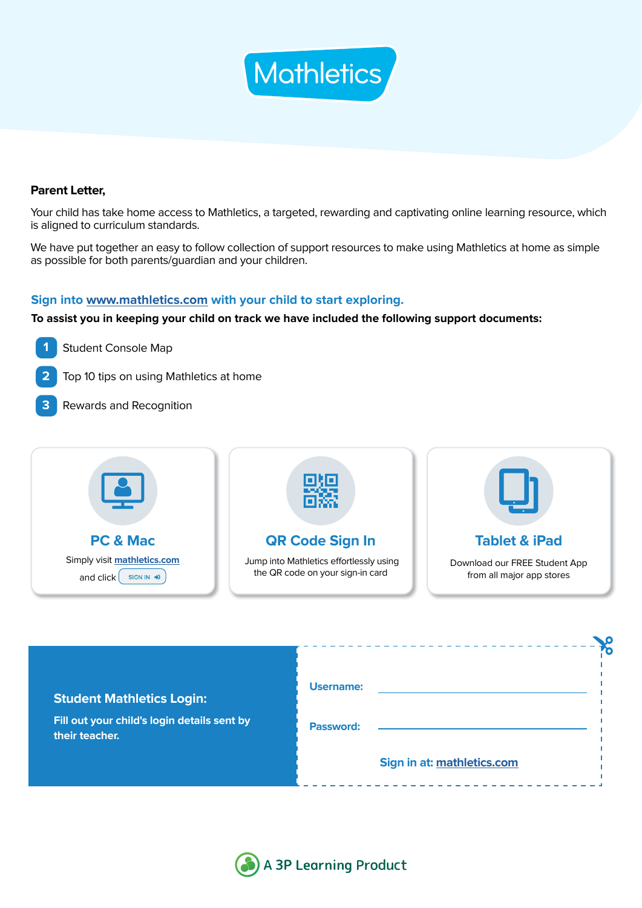

## **Parent Letter,**

Your child has take home access to Mathletics, a targeted, rewarding and captivating online learning resource, which is aligned to curriculum standards.

We have put together an easy to follow collection of support resources to make using Mathletics at home as simple as possible for both parents/guardian and your children.

## **Sign into [www.mathletics.com](http://www.mathletics.com) with your child to start exploring.**

**To assist you in keeping your child on track we have included the following support documents:**



- **2** Top 10 tips on using Mathletics at home
- **3** Rewards and Recognition



| <b>Student Mathletics Login:</b>                              | Username: |                            |  |
|---------------------------------------------------------------|-----------|----------------------------|--|
| Fill out your child's login details sent by<br>their teacher. | Password: |                            |  |
|                                                               |           | Sign in at: mathletics.com |  |

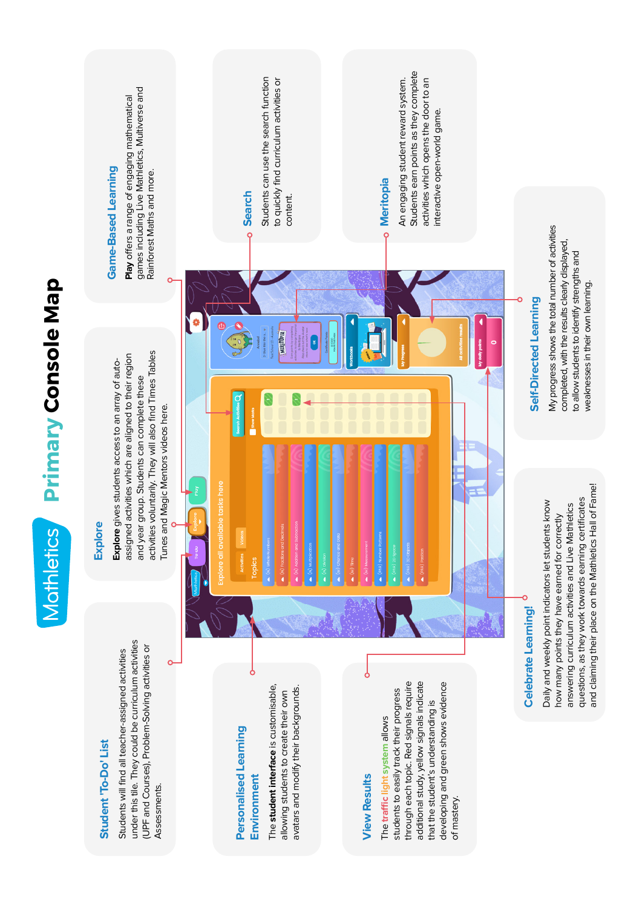Students eam points as they complete Students earn points as they complete Students can use the search function Students can use the search function to quickly find curriculum activities or activities which opens the door to an to quickly find curriculum activities or An engaging student reward system. activities which opens the door to an An engaging student reward system. **Play** offers a range of engaging mathematical<br>games including Live Mathletics, Multiverse and<br>Rainforest Maths and more. games including Live Mathletics, Multiverse and **Play** offers a range of engaging mathematical interactive open-world game. interactive open-world game.**Game-Based Learning Game-Based Learning** Rainforest Maths and more. **Meritopia Search** content. content. My progress shows the total number of activities<br>completed, with the results dearly displayed, My progress shows the total number of activities completed, with the results clearly displayed, to allow students to identify strengths and to allow students to identify strengths and weaknesses in their own learning. weaknesses in their own learning. Self-Directed Learning **Self-Directed Learning** MERITOPIA activities voluntarily. They will also find Times Tables activities voluntarily. They will also find Times Tables assigned activities which are aligned to their region assigned activities which are aligned to their region Explore gives students access to an array of auto-**Explore** gives students access to an array of autoand year group. Students can complete these and year group. Students can complete these Tunes and Magic Mentors videos here. Tunes and Magic Mentors videos here. and claiming their place on the Mathletics Hall of Fame! tasks here and claiming their place on the Mathletics Hall of Fame! questions, as they work towards earning certificates questions, as they work towards earning certificates Daily and weekly point indicators let students know Daily and weekly point indicators let students know answering curriculum activities and Live Mathletics answering curriculum activities and Live Mathletics how many points they have earned for correctly how many points they have earned for correctly **Explore Celebrate Learning! Celebrate Learning!** under this tile. They could be curriculum activities under this tile. They could be curriculum activities (UPF and Courses), Problem-Solving activities or (UPF and Courses), Problem-Solving activities or Students will find all teacher-assigned activities Students will find all teacher-assigned activities additional study, yellow signals indicate additional study, yellow signals indicate through each topic. Red signals require through each topic. Red signals require developing and green shows evidence developing and green shows evidence The **student interface** is customisable, avatars and modify their backgrounds. The student interface is customisable, avatars and modify their backgrounds. students to easily track their progress students to easily track their progress allowing students to create their own allowing students to create their own that the student's understanding is that the student's understanding is The traffic light system allows The **traffic light system** allows **Personalised Learning**  Personalised Learning Student 'To-Do' List **Student 'To-Do' List Environment View Results Environment View Results** Assessments. Assessments. of mastery. of mastery.

**Primary Console Map**

Mothletics Primary Console Map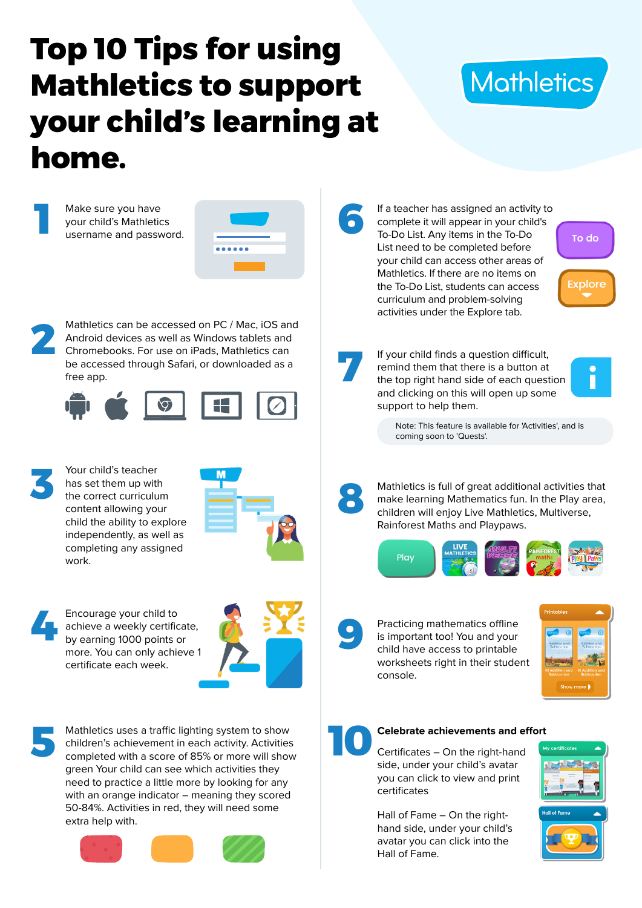# **Top 10 Tips for using Mathletics to support your child's learning at home.**



**colore** 



Hall of Fame – On the righthand side, under your child's avatar you can click into the Hall of Fame.



50-84%. Activities in red, they will need some extra help with.